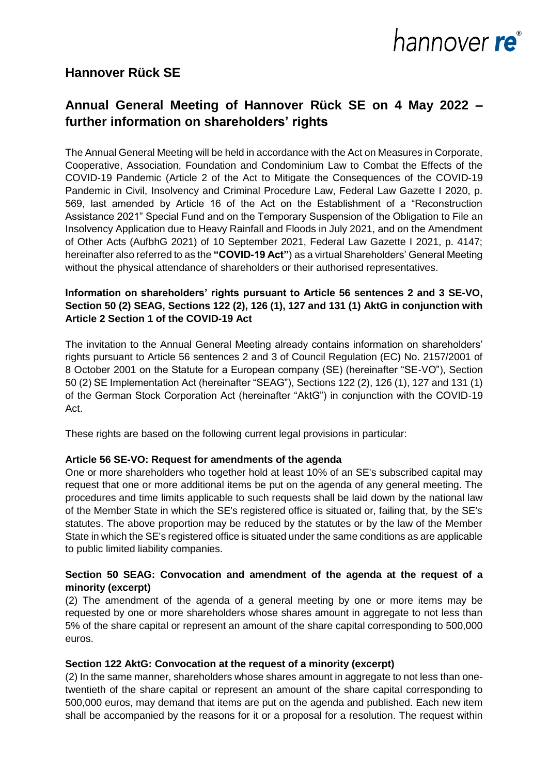

## **Hannover Rück SE**

# **Annual General Meeting of Hannover Rück SE on 4 May 2022 – further information on shareholders' rights**

The Annual General Meeting will be held in accordance with the Act on Measures in Corporate, Cooperative, Association, Foundation and Condominium Law to Combat the Effects of the COVID-19 Pandemic (Article 2 of the Act to Mitigate the Consequences of the COVID-19 Pandemic in Civil, Insolvency and Criminal Procedure Law, Federal Law Gazette I 2020, p. 569, last amended by Article 16 of the Act on the Establishment of a "Reconstruction Assistance 2021" Special Fund and on the Temporary Suspension of the Obligation to File an Insolvency Application due to Heavy Rainfall and Floods in July 2021, and on the Amendment of Other Acts (AufbhG 2021) of 10 September 2021, Federal Law Gazette I 2021, p. 4147; hereinafter also referred to as the **"COVID-19 Act"**) as a virtual Shareholders' General Meeting without the physical attendance of shareholders or their authorised representatives.

#### **Information on shareholders' rights pursuant to Article 56 sentences 2 and 3 SE-VO, Section 50 (2) SEAG, Sections 122 (2), 126 (1), 127 and 131 (1) AktG in conjunction with Article 2 Section 1 of the COVID-19 Act**

The invitation to the Annual General Meeting already contains information on shareholders' rights pursuant to Article 56 sentences 2 and 3 of Council Regulation (EC) No. 2157/2001 of 8 October 2001 on the Statute for a European company (SE) (hereinafter "SE-VO"), Section 50 (2) SE Implementation Act (hereinafter "SEAG"), Sections 122 (2), 126 (1), 127 and 131 (1) of the German Stock Corporation Act (hereinafter "AktG") in conjunction with the COVID-19 Act.

These rights are based on the following current legal provisions in particular:

#### **Article 56 SE-VO: Request for amendments of the agenda**

One or more shareholders who together hold at least 10% of an SE's subscribed capital may request that one or more additional items be put on the agenda of any general meeting. The procedures and time limits applicable to such requests shall be laid down by the national law of the Member State in which the SE's registered office is situated or, failing that, by the SE's statutes. The above proportion may be reduced by the statutes or by the law of the Member State in which the SE's registered office is situated under the same conditions as are applicable to public limited liability companies.

#### **Section 50 SEAG: Convocation and amendment of the agenda at the request of a minority (excerpt)**

(2) The amendment of the agenda of a general meeting by one or more items may be requested by one or more shareholders whose shares amount in aggregate to not less than 5% of the share capital or represent an amount of the share capital corresponding to 500,000 euros.

#### **Section 122 AktG: Convocation at the request of a minority (excerpt)**

(2) In the same manner, shareholders whose shares amount in aggregate to not less than onetwentieth of the share capital or represent an amount of the share capital corresponding to 500,000 euros, may demand that items are put on the agenda and published. Each new item shall be accompanied by the reasons for it or a proposal for a resolution. The request within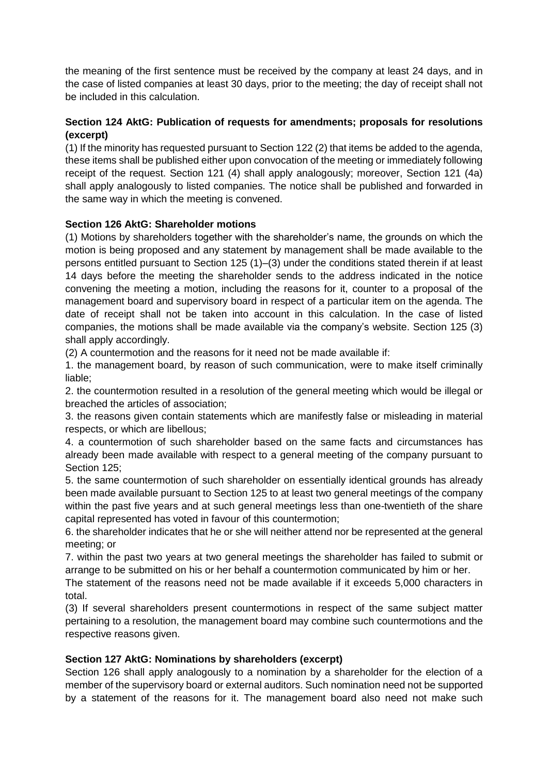the meaning of the first sentence must be received by the company at least 24 days, and in the case of listed companies at least 30 days, prior to the meeting; the day of receipt shall not be included in this calculation.

## **Section 124 AktG: Publication of requests for amendments; proposals for resolutions (excerpt)**

(1) If the minority has requested pursuant to Section 122 (2) that items be added to the agenda, these items shall be published either upon convocation of the meeting or immediately following receipt of the request. Section 121 (4) shall apply analogously; moreover, Section 121 (4a) shall apply analogously to listed companies. The notice shall be published and forwarded in the same way in which the meeting is convened.

## **Section 126 AktG: Shareholder motions**

(1) Motions by shareholders together with the shareholder's name, the grounds on which the motion is being proposed and any statement by management shall be made available to the persons entitled pursuant to Section 125 (1)–(3) under the conditions stated therein if at least 14 days before the meeting the shareholder sends to the address indicated in the notice convening the meeting a motion, including the reasons for it, counter to a proposal of the management board and supervisory board in respect of a particular item on the agenda. The date of receipt shall not be taken into account in this calculation. In the case of listed companies, the motions shall be made available via the company's website. Section 125 (3) shall apply accordingly.

(2) A countermotion and the reasons for it need not be made available if:

1. the management board, by reason of such communication, were to make itself criminally liable;

2. the countermotion resulted in a resolution of the general meeting which would be illegal or breached the articles of association;

3. the reasons given contain statements which are manifestly false or misleading in material respects, or which are libellous;

4. a countermotion of such shareholder based on the same facts and circumstances has already been made available with respect to a general meeting of the company pursuant to Section 125;

5. the same countermotion of such shareholder on essentially identical grounds has already been made available pursuant to Section 125 to at least two general meetings of the company within the past five years and at such general meetings less than one-twentieth of the share capital represented has voted in favour of this countermotion;

6. the shareholder indicates that he or she will neither attend nor be represented at the general meeting; or

7. within the past two years at two general meetings the shareholder has failed to submit or arrange to be submitted on his or her behalf a countermotion communicated by him or her.

The statement of the reasons need not be made available if it exceeds 5,000 characters in total.

(3) If several shareholders present countermotions in respect of the same subject matter pertaining to a resolution, the management board may combine such countermotions and the respective reasons given.

## **Section 127 AktG: Nominations by shareholders (excerpt)**

Section 126 shall apply analogously to a nomination by a shareholder for the election of a member of the supervisory board or external auditors. Such nomination need not be supported by a statement of the reasons for it. The management board also need not make such